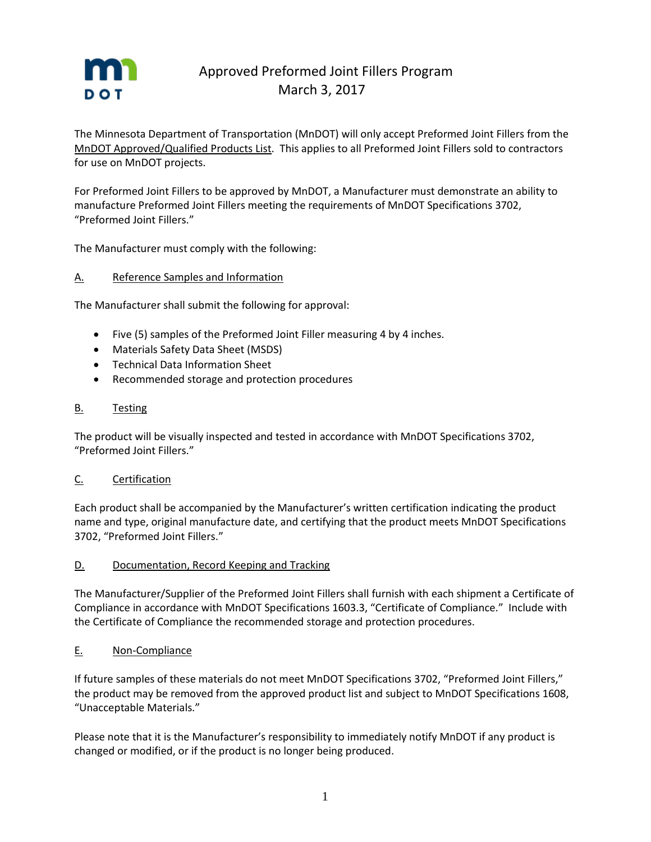

# Approved Preformed Joint Fillers Program March 3, 2017

The Minnesota Department of Transportation (MnDOT) will only accept Preformed Joint Fillers from the MnDOT Approved/Qualified Products List. This applies to all Preformed Joint Fillers sold to contractors for use on MnDOT projects.

For Preformed Joint Fillers to be approved by MnDOT, a Manufacturer must demonstrate an ability to manufacture Preformed Joint Fillers meeting the requirements of MnDOT Specifications 3702, "Preformed Joint Fillers."

The Manufacturer must comply with the following:

# A. Reference Samples and Information

The Manufacturer shall submit the following for approval:

- Five (5) samples of the Preformed Joint Filler measuring 4 by 4 inches.
- Materials Safety Data Sheet (MSDS)
- Technical Data Information Sheet
- Recommended storage and protection procedures

# B. Testing

The product will be visually inspected and tested in accordance with MnDOT Specifications 3702, "Preformed Joint Fillers."

### C. Certification

Each product shall be accompanied by the Manufacturer's written certification indicating the product name and type, original manufacture date, and certifying that the product meets MnDOT Specifications 3702, "Preformed Joint Fillers."

### D. Documentation, Record Keeping and Tracking

The Manufacturer/Supplier of the Preformed Joint Fillers shall furnish with each shipment a Certificate of Compliance in accordance with MnDOT Specifications 1603.3, "Certificate of Compliance." Include with the Certificate of Compliance the recommended storage and protection procedures.

### E. Non-Compliance

If future samples of these materials do not meet MnDOT Specifications 3702, "Preformed Joint Fillers," the product may be removed from the approved product list and subject to MnDOT Specifications 1608, "Unacceptable Materials."

Please note that it is the Manufacturer's responsibility to immediately notify MnDOT if any product is changed or modified, or if the product is no longer being produced.